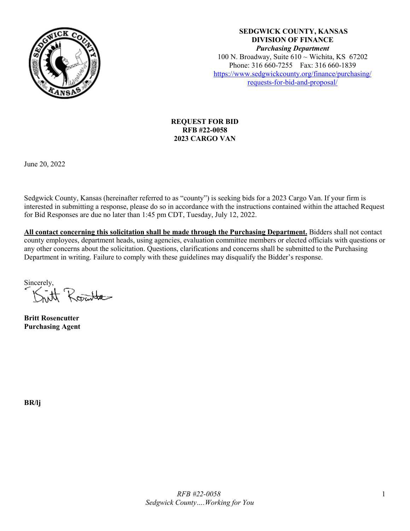

**SEDGWICK COUNTY, KANSAS DIVISION OF FINANCE** *Purchasing Department* 100 N. Broadway, Suite  $610 \sim$  Wichita, KS 67202 Phone: 316 660-7255 Fax: 316 660-1839 [https://www.sedgwickcounty.org/finance/purchasing/](https://www.sedgwickcounty.org/finance/purchasing/requests-for-bid-and-proposal/)  [requests-for-bid-and-proposal/](https://www.sedgwickcounty.org/finance/purchasing/requests-for-bid-and-proposal/)

### **REQUEST FOR BID RFB #22-0058 2023 CARGO VAN**

June 20, 2022

Sedgwick County, Kansas (hereinafter referred to as "county") is seeking bids for a 2023 Cargo Van. If your firm is interested in submitting a response, please do so in accordance with the instructions contained within the attached Request for Bid Responses are due no later than 1:45 pm CDT, Tuesday, July 12, 2022.

**All contact concerning this solicitation shall be made through the Purchasing Department.** Bidders shall not contact county employees, department heads, using agencies, evaluation committee members or elected officials with questions or any other concerns about the solicitation. Questions, clarifications and concerns shall be submitted to the Purchasing Department in writing. Failure to comply with these guidelines may disqualify the Bidder's response.

Sincerely,<br>*Santt Rosenba* 

**Britt Rosencutter Purchasing Agent**

**BR/lj**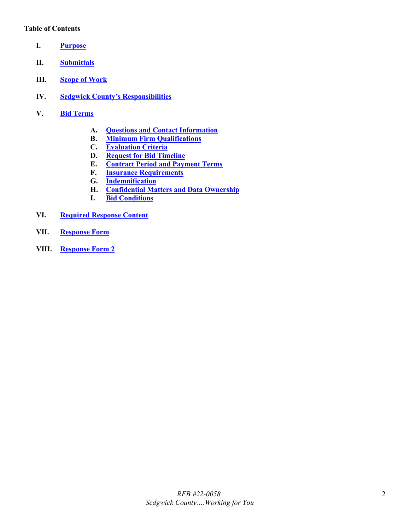#### **Table of Contents**

- <span id="page-1-0"></span>**I. [Purpose](#page-2-0)**
- <span id="page-1-1"></span>**II. [Submittals](#page-2-1)**
- <span id="page-1-2"></span>**III. [Scope of Work](#page-2-2)**
- <span id="page-1-3"></span>**IV. [Sedgwick County's Responsibilities](#page-3-0)**
- <span id="page-1-9"></span><span id="page-1-8"></span><span id="page-1-7"></span><span id="page-1-6"></span><span id="page-1-5"></span><span id="page-1-4"></span>**V. Bid [Terms](#page-3-1)**
	- **A. [Questions and Contact Information](#page-3-2)**
	- **B. [Minimum Firm Qualifications](#page-3-3)**
	- **C. [Evaluation Criteria](#page-3-4)**
	- **D. [Request for Bid](#page-4-0) Timeline**
	- **E. [Contract Period and Payment Terms](#page-4-1)**
	- **F. [Insurance Requirements](#page-4-2)**
	- **G. [Indemnification](#page-5-0)**
	- **H. [Confidential Matters and Data Ownership](#page-5-1)**
	- **I. [Bid Conditions](#page-6-0)**
- <span id="page-1-14"></span><span id="page-1-13"></span><span id="page-1-12"></span><span id="page-1-11"></span><span id="page-1-10"></span>**VI. [Required Response Content](#page-6-1)**
- <span id="page-1-15"></span>**VII. [Response Form](#page-6-2)**
- **VIII. [Response Form 2](#page-8-0)**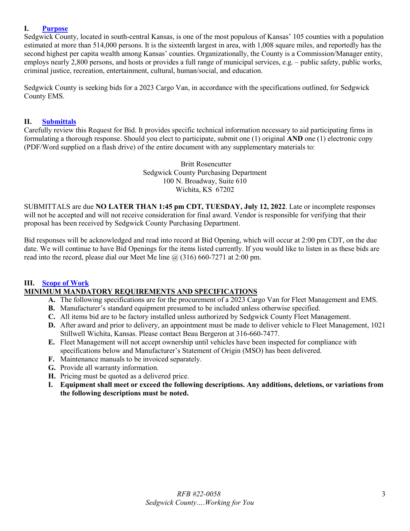### <span id="page-2-0"></span>**I. [Purpose](#page-1-0)**

Sedgwick County, located in south-central Kansas, is one of the most populous of Kansas' 105 counties with a population estimated at more than 514,000 persons. It is the sixteenth largest in area, with 1,008 square miles, and reportedly has the second highest per capita wealth among Kansas' counties. Organizationally, the County is a Commission/Manager entity, employs nearly 2,800 persons, and hosts or provides a full range of municipal services, e.g. – public safety, public works, criminal justice, recreation, entertainment, cultural, human/social, and education.

Sedgwick County is seeking bids for a 2023 Cargo Van, in accordance with the specifications outlined, for Sedgwick County EMS.

#### <span id="page-2-1"></span>**II. [Submittals](#page-1-1)**

Carefully review this Request for Bid. It provides specific technical information necessary to aid participating firms in formulating a thorough response. Should you elect to participate, submit one (1) original **AND** one (1) electronic copy (PDF/Word supplied on a flash drive) of the entire document with any supplementary materials to:

> Britt Rosencutter Sedgwick County Purchasing Department 100 N. Broadway, Suite 610 Wichita, KS 67202

SUBMITTALS are due **NO LATER THAN 1:45 pm CDT, TUESDAY, July 12, 2022**. Late or incomplete responses will not be accepted and will not receive consideration for final award. Vendor is responsible for verifying that their proposal has been received by Sedgwick County Purchasing Department.

Bid responses will be acknowledged and read into record at Bid Opening, which will occur at 2:00 pm CDT, on the due date. We will continue to have Bid Openings for the items listed currently. If you would like to listen in as these bids are read into the record, please dial our Meet Me line  $\omega(316)$  660-7271 at 2:00 pm.

### <span id="page-2-2"></span>**III. [Scope of Work](#page-1-2)**

### **MINIMUM MANDATORY REQUIREMENTS AND SPECIFICATIONS**

- **A.** The following specifications are for the procurement of a 2023 Cargo Van for Fleet Management and EMS.
- **B.** Manufacturer's standard equipment presumed to be included unless otherwise specified.
- **C.** All items bid are to be factory installed unless authorized by Sedgwick County Fleet Management.
- **D.** After award and prior to delivery, an appointment must be made to deliver vehicle to Fleet Management, 1021 Stillwell Wichita, Kansas. Please contact Beau Bergeron at 316-660-7477.
- **E.** Fleet Management will not accept ownership until vehicles have been inspected for compliance with specifications below and Manufacturer's Statement of Origin (MSO) has been delivered.
- **F.** Maintenance manuals to be invoiced separately.
- **G.** Provide all warranty information.
- **H.** Pricing must be quoted as a delivered price.
- **I. Equipment shall meet or exceed the following descriptions. Any additions, deletions, or variations from the following descriptions must be noted.**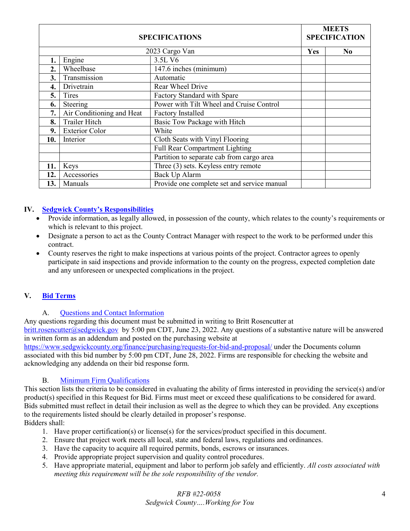| <b>SPECIFICATIONS</b> |                           |                                             | <b>MEETS</b><br><b>SPECIFICATION</b> |    |
|-----------------------|---------------------------|---------------------------------------------|--------------------------------------|----|
|                       |                           | 2023 Cargo Van                              | Yes                                  | No |
|                       | Engine                    | 3.5L V6                                     |                                      |    |
| 2.                    | Wheelbase                 | 147.6 inches (minimum)                      |                                      |    |
| 3.                    | Transmission              | Automatic                                   |                                      |    |
| 4.                    | Drivetrain                | Rear Wheel Drive                            |                                      |    |
| 5.                    | Tires                     | Factory Standard with Spare                 |                                      |    |
| 6.                    | Steering                  | Power with Tilt Wheel and Cruise Control    |                                      |    |
| 7.                    | Air Conditioning and Heat | <b>Factory Installed</b>                    |                                      |    |
| 8.                    | Trailer Hitch             | Basic Tow Package with Hitch                |                                      |    |
| 9.                    | <b>Exterior Color</b>     | White                                       |                                      |    |
| 10.                   | Interior                  | Cloth Seats with Vinyl Flooring             |                                      |    |
|                       |                           | Full Rear Compartment Lighting              |                                      |    |
|                       |                           | Partition to separate cab from cargo area   |                                      |    |
| 11.                   | Keys                      | Three (3) sets. Keyless entry remote        |                                      |    |
| 12.                   | Accessories               | Back Up Alarm                               |                                      |    |
| 13.                   | Manuals                   | Provide one complete set and service manual |                                      |    |

### <span id="page-3-0"></span>**IV. [Sedgwick County's Responsibilities](#page-1-3)**

- Provide information, as legally allowed, in possession of the county, which relates to the county's requirements or which is relevant to this project.
- Designate a person to act as the County Contract Manager with respect to the work to be performed under this contract.
- County reserves the right to make inspections at various points of the project. Contractor agrees to openly participate in said inspections and provide information to the county on the progress, expected completion date and any unforeseen or unexpected complications in the project.

### <span id="page-3-1"></span>**V. Bid [Terms](#page-1-4)**

### A. [Questions and Contact Information](#page-1-5)

<span id="page-3-2"></span>Any questions regarding this document must be submitted in writing to Britt Rosencutter at [britt.rosencutter@sedgwick.gov](mailto:britt.rosencutter@sedgwick.gov) by 5:00 pm CDT, June 23, 2022. Any questions of a substantive nature will be answered in written form as an addendum and posted on the purchasing website at

<https://www.sedgwickcounty.org/finance/purchasing/requests-for-bid-and-proposal/>under the Documents column associated with this bid number by 5:00 pm CDT, June 28, 2022. Firms are responsible for checking the website and acknowledging any addenda on their bid response form.

#### B. [Minimum Firm Qualifications](#page-1-6)

<span id="page-3-3"></span>This section lists the criteria to be considered in evaluating the ability of firms interested in providing the service(s) and/or product(s) specified in this Request for Bid. Firms must meet or exceed these qualifications to be considered for award. Bids submitted must reflect in detail their inclusion as well as the degree to which they can be provided. Any exceptions to the requirements listed should be clearly detailed in proposer's response. Bidders shall:

- 1. Have proper certification(s) or license(s) for the services/product specified in this document.
- 2. Ensure that project work meets all local, state and federal laws, regulations and ordinances.
- 3. Have the capacity to acquire all required permits, bonds, escrows or insurances.
- 4. Provide appropriate project supervision and quality control procedures.
- <span id="page-3-4"></span>5. Have appropriate material, equipment and labor to perform job safely and efficiently. *All costs associated with meeting this requirement will be the sole responsibility of the vendor.*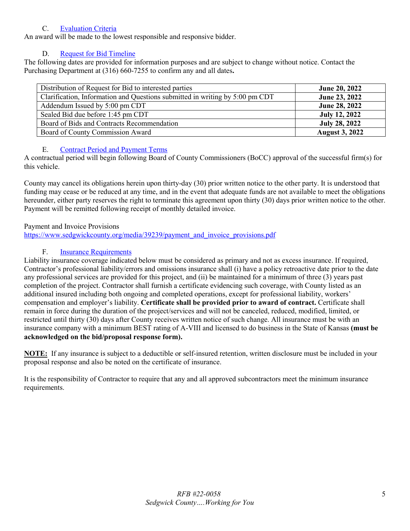### C. [Evaluation Criteria](#page-1-7)

An award will be made to the lowest responsible and responsive bidder.

# D. [Request for Bid](#page-1-8) Timeline

<span id="page-4-0"></span>The following dates are provided for information purposes and are subject to change without notice. Contact the Purchasing Department at (316) 660-7255 to confirm any and all dates**.** 

| Distribution of Request for Bid to interested parties                        | June 20, 2022         |
|------------------------------------------------------------------------------|-----------------------|
| Clarification, Information and Questions submitted in writing by 5:00 pm CDT | June 23, 2022         |
| Addendum Issued by 5:00 pm CDT                                               | <b>June 28, 2022</b>  |
| Sealed Bid due before 1:45 pm CDT                                            | <b>July 12, 2022</b>  |
| Board of Bids and Contracts Recommendation                                   | <b>July 28, 2022</b>  |
| Board of County Commission Award                                             | <b>August 3, 2022</b> |

# E. [Contract Period and Payment Terms](#page-1-9)

<span id="page-4-1"></span>A contractual period will begin following Board of County Commissioners (BoCC) approval of the successful firm(s) for this vehicle.

County may cancel its obligations herein upon thirty-day (30) prior written notice to the other party. It is understood that funding may cease or be reduced at any time, and in the event that adequate funds are not available to meet the obligations hereunder, either party reserves the right to terminate this agreement upon thirty (30) days prior written notice to the other. Payment will be remitted following receipt of monthly detailed invoice.

## Payment and Invoice Provisions

[https://www.sedgwickcounty.org/media/39239/payment\\_and\\_invoice\\_provisions.pdf](https://www.sedgwickcounty.org/media/39239/payment_and_invoice_provisions.pdf)

# F. [Insurance Requirements](#page-1-10)

<span id="page-4-2"></span>Liability insurance coverage indicated below must be considered as primary and not as excess insurance. If required, Contractor's professional liability/errors and omissions insurance shall (i) have a policy retroactive date prior to the date any professional services are provided for this project, and (ii) be maintained for a minimum of three (3) years past completion of the project. Contractor shall furnish a certificate evidencing such coverage, with County listed as an additional insured including both ongoing and completed operations, except for professional liability, workers' compensation and employer's liability. **Certificate shall be provided prior to award of contract.** Certificate shall remain in force during the duration of the project/services and will not be canceled, reduced, modified, limited, or restricted until thirty (30) days after County receives written notice of such change. All insurance must be with an insurance company with a minimum BEST rating of A-VIII and licensed to do business in the State of Kansas **(must be acknowledged on the bid/proposal response form).**

**NOTE:** If any insurance is subject to a deductible or self-insured retention, written disclosure must be included in your proposal response and also be noted on the certificate of insurance.

It is the responsibility of Contractor to require that any and all approved subcontractors meet the minimum insurance requirements.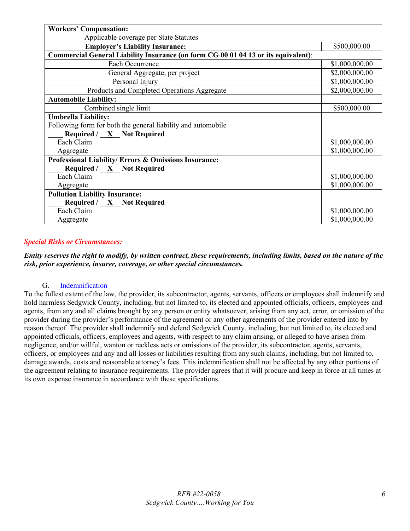| <b>Workers' Compensation:</b>                                                      |                |  |  |  |
|------------------------------------------------------------------------------------|----------------|--|--|--|
| Applicable coverage per State Statutes                                             |                |  |  |  |
| <b>Employer's Liability Insurance:</b>                                             | \$500,000.00   |  |  |  |
| Commercial General Liability Insurance (on form CG 00 01 04 13 or its equivalent): |                |  |  |  |
| Each Occurrence                                                                    | \$1,000,000.00 |  |  |  |
| General Aggregate, per project                                                     | \$2,000,000.00 |  |  |  |
| Personal Injury                                                                    | \$1,000,000.00 |  |  |  |
| Products and Completed Operations Aggregate                                        | \$2,000,000.00 |  |  |  |
| <b>Automobile Liability:</b>                                                       |                |  |  |  |
| Combined single limit                                                              | \$500,000.00   |  |  |  |
| <b>Umbrella Liability:</b>                                                         |                |  |  |  |
| Following form for both the general liability and automobile                       |                |  |  |  |
| Required / $X$ Not Required                                                        |                |  |  |  |
| Each Claim                                                                         | \$1,000,000.00 |  |  |  |
| Aggregate                                                                          | \$1,000,000.00 |  |  |  |
| Professional Liability/ Errors & Omissions Insurance:                              |                |  |  |  |
| <b>Required</b> / $\underline{X}$ Not Required                                     |                |  |  |  |
| Each Claim                                                                         | \$1,000,000.00 |  |  |  |
| Aggregate                                                                          | \$1,000,000.00 |  |  |  |
| <b>Pollution Liability Insurance:</b>                                              |                |  |  |  |
| Required $/ \underline{X}$ Not Required                                            |                |  |  |  |
| Each Claim                                                                         | \$1,000,000.00 |  |  |  |
| Aggregate                                                                          | \$1,000,000.00 |  |  |  |

### *Special Risks or Circumstances:*

*Entity reserves the right to modify, by written contract, these requirements, including limits, based on the nature of the risk, prior experience, insurer, coverage, or other special circumstances.*

### G. [Indemnification](#page-1-11)

<span id="page-5-1"></span><span id="page-5-0"></span>To the fullest extent of the law, the provider, its subcontractor, agents, servants, officers or employees shall indemnify and hold harmless Sedgwick County, including, but not limited to, its elected and appointed officials, officers, employees and agents, from any and all claims brought by any person or entity whatsoever, arising from any act, error, or omission of the provider during the provider's performance of the agreement or any other agreements of the provider entered into by reason thereof. The provider shall indemnify and defend Sedgwick County, including, but not limited to, its elected and appointed officials, officers, employees and agents, with respect to any claim arising, or alleged to have arisen from negligence, and/or willful, wanton or reckless acts or omissions of the provider, its subcontractor, agents, servants, officers, or employees and any and all losses or liabilities resulting from any such claims, including, but not limited to, damage awards, costs and reasonable attorney's fees. This indemnification shall not be affected by any other portions of the agreement relating to insurance requirements. The provider agrees that it will procure and keep in force at all times at its own expense insurance in accordance with these specifications.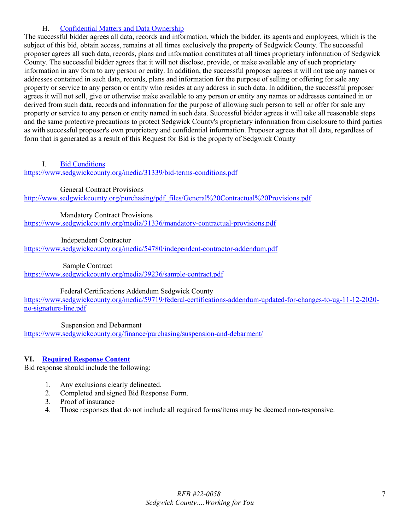### H. [Confidential Matters and Data Ownership](#page-1-12)

The successful bidder agrees all data, records and information, which the bidder, its agents and employees, which is the subject of this bid, obtain access, remains at all times exclusively the property of Sedgwick County. The successful proposer agrees all such data, records, plans and information constitutes at all times proprietary information of Sedgwick County. The successful bidder agrees that it will not disclose, provide, or make available any of such proprietary information in any form to any person or entity. In addition, the successful proposer agrees it will not use any names or addresses contained in such data, records, plans and information for the purpose of selling or offering for sale any property or service to any person or entity who resides at any address in such data. In addition, the successful proposer agrees it will not sell, give or otherwise make available to any person or entity any names or addresses contained in or derived from such data, records and information for the purpose of allowing such person to sell or offer for sale any property or service to any person or entity named in such data. Successful bidder agrees it will take all reasonable steps and the same protective precautions to protect Sedgwick County's proprietary information from disclosure to third parties as with successful proposer's own proprietary and confidential information. Proposer agrees that all data, regardless of form that is generated as a result of this Request for Bid is the property of Sedgwick County

### <span id="page-6-0"></span>I. [Bid Conditions](#page-1-13)

<https://www.sedgwickcounty.org/media/31339/bid-terms-conditions.pdf>

General Contract Provisions

http://www.sedgwickcounty.org/purchasing/pdf\_files/General%20Contractual%20Provisions.pdf

Mandatory Contract Provisions

<https://www.sedgwickcounty.org/media/31336/mandatory-contractual-provisions.pdf>

Independent Contractor

<https://www.sedgwickcounty.org/media/54780/independent-contractor-addendum.pdf>

Sample Contract

<https://www.sedgwickcounty.org/media/39236/sample-contract.pdf>

Federal Certifications Addendum Sedgwick County

[https://www.sedgwickcounty.org/media/59719/federal-certifications-addendum-updated-for-changes-to-ug-11-12-2020](https://www.sedgwickcounty.org/media/59719/federal-certifications-addendum-updated-for-changes-to-ug-11-12-2020-no-signature-line.pdf) [no-signature-line.pdf](https://www.sedgwickcounty.org/media/59719/federal-certifications-addendum-updated-for-changes-to-ug-11-12-2020-no-signature-line.pdf)

Suspension and Debarment

<https://www.sedgwickcounty.org/finance/purchasing/suspension-and-debarment/>

### <span id="page-6-1"></span>**VI. [Required Response Content](#page-1-14)**

Bid response should include the following:

- 1. Any exclusions clearly delineated.
- 2. Completed and signed Bid Response Form.
- 3. Proof of insurance
- <span id="page-6-2"></span>4. Those responses that do not include all required forms/items may be deemed non-responsive.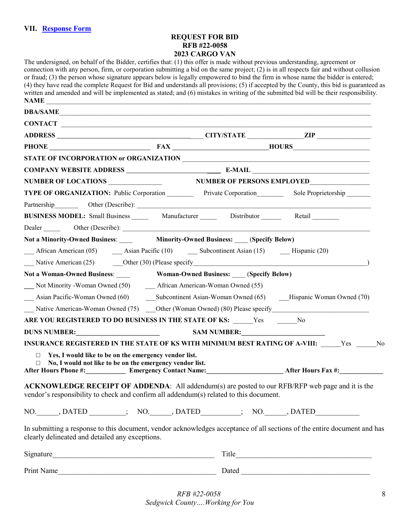### **REQUEST FOR BID RFB #22-0058 2023 CARGO VAN**

| The undersigned, on behalf of the Bidder, certifies that: (1) this offer is made without previous understanding, agreement or<br>connection with any person, firm, or corporation submitting a bid on the same project; $(2)$ is in all respects fair and without collusion<br>or fraud; (3) the person whose signature appears below is legally empowered to bind the firm in whose name the bidder is entered;<br>(4) they have read the complete Request for Bid and understands all provisions; (5) if accepted by the County, this bid is guaranteed as<br>written and amended and will be implemented as stated; and (6) mistakes in writing of the submitted bid will be their responsibility.<br>NAME |                                                                                              |  |                                                                                                                                                                                                                               |  |  |  |
|---------------------------------------------------------------------------------------------------------------------------------------------------------------------------------------------------------------------------------------------------------------------------------------------------------------------------------------------------------------------------------------------------------------------------------------------------------------------------------------------------------------------------------------------------------------------------------------------------------------------------------------------------------------------------------------------------------------|----------------------------------------------------------------------------------------------|--|-------------------------------------------------------------------------------------------------------------------------------------------------------------------------------------------------------------------------------|--|--|--|
| DBA/SAME                                                                                                                                                                                                                                                                                                                                                                                                                                                                                                                                                                                                                                                                                                      |                                                                                              |  |                                                                                                                                                                                                                               |  |  |  |
| CONTACT                                                                                                                                                                                                                                                                                                                                                                                                                                                                                                                                                                                                                                                                                                       |                                                                                              |  |                                                                                                                                                                                                                               |  |  |  |
|                                                                                                                                                                                                                                                                                                                                                                                                                                                                                                                                                                                                                                                                                                               |                                                                                              |  |                                                                                                                                                                                                                               |  |  |  |
|                                                                                                                                                                                                                                                                                                                                                                                                                                                                                                                                                                                                                                                                                                               | PHONE FAX HOURS                                                                              |  |                                                                                                                                                                                                                               |  |  |  |
|                                                                                                                                                                                                                                                                                                                                                                                                                                                                                                                                                                                                                                                                                                               |                                                                                              |  |                                                                                                                                                                                                                               |  |  |  |
|                                                                                                                                                                                                                                                                                                                                                                                                                                                                                                                                                                                                                                                                                                               |                                                                                              |  |                                                                                                                                                                                                                               |  |  |  |
|                                                                                                                                                                                                                                                                                                                                                                                                                                                                                                                                                                                                                                                                                                               | NUMBER OF LOCATIONS NUMBER OF PERSONS EMPLOYED                                               |  |                                                                                                                                                                                                                               |  |  |  |
| TYPE OF ORGANIZATION: Public Corporation Private Corporation Sole Proprietorship                                                                                                                                                                                                                                                                                                                                                                                                                                                                                                                                                                                                                              |                                                                                              |  |                                                                                                                                                                                                                               |  |  |  |
| Partnership Other (Describe): 1999. Contact Australian Contact Australian Contact Australian Contact Australian Contact Australian Contact Australian Contact Australian Contact Australian Contact Australian Contact Austral                                                                                                                                                                                                                                                                                                                                                                                                                                                                                |                                                                                              |  |                                                                                                                                                                                                                               |  |  |  |
| BUSINESS MODEL: Small Business _______ Manufacturer ________ Distributor _______ Retail                                                                                                                                                                                                                                                                                                                                                                                                                                                                                                                                                                                                                       |                                                                                              |  |                                                                                                                                                                                                                               |  |  |  |
|                                                                                                                                                                                                                                                                                                                                                                                                                                                                                                                                                                                                                                                                                                               |                                                                                              |  |                                                                                                                                                                                                                               |  |  |  |
| Not a Minority-Owned Business: Minority-Owned Business: (Specify Below)                                                                                                                                                                                                                                                                                                                                                                                                                                                                                                                                                                                                                                       |                                                                                              |  |                                                                                                                                                                                                                               |  |  |  |
|                                                                                                                                                                                                                                                                                                                                                                                                                                                                                                                                                                                                                                                                                                               |                                                                                              |  |                                                                                                                                                                                                                               |  |  |  |
| Native American (25) Other (30) (Please specify and the state of the state of the state of the state of the state of the state of the state of the state of the state of the state of the state of the state of the state of t                                                                                                                                                                                                                                                                                                                                                                                                                                                                                |                                                                                              |  |                                                                                                                                                                                                                               |  |  |  |
| Not a Woman-Owned Business:                                                                                                                                                                                                                                                                                                                                                                                                                                                                                                                                                                                                                                                                                   | <b>Woman-Owned Business:</b> (Specify Below)                                                 |  |                                                                                                                                                                                                                               |  |  |  |
|                                                                                                                                                                                                                                                                                                                                                                                                                                                                                                                                                                                                                                                                                                               |                                                                                              |  |                                                                                                                                                                                                                               |  |  |  |
|                                                                                                                                                                                                                                                                                                                                                                                                                                                                                                                                                                                                                                                                                                               | Asian Pacific-Woman Owned (60) Subcontinent Asian-Woman Owned (65) Hispanic Woman Owned (70) |  |                                                                                                                                                                                                                               |  |  |  |
| Native American-Woman Owned (75) Cther (Woman Owned) (80) Please specify                                                                                                                                                                                                                                                                                                                                                                                                                                                                                                                                                                                                                                      |                                                                                              |  |                                                                                                                                                                                                                               |  |  |  |
| ARE YOU REGISTERED TO DO BUSINESS IN THE STATE OF KS: Yes No                                                                                                                                                                                                                                                                                                                                                                                                                                                                                                                                                                                                                                                  |                                                                                              |  |                                                                                                                                                                                                                               |  |  |  |
| DUNS NUMBER: SAM NUMBER:                                                                                                                                                                                                                                                                                                                                                                                                                                                                                                                                                                                                                                                                                      |                                                                                              |  |                                                                                                                                                                                                                               |  |  |  |
| INSURANCE REGISTERED IN THE STATE OF KS WITH MINIMUM BEST RATING OF A-VIII: Yes No                                                                                                                                                                                                                                                                                                                                                                                                                                                                                                                                                                                                                            |                                                                                              |  |                                                                                                                                                                                                                               |  |  |  |
| $\Box$ Yes, I would like to be on the emergency vendor list.<br>$\Box$ No, I would not like to be on the emergency vendor list.<br>After Hours Phone #: Emergency Contact Name: After Hours Fax #:                                                                                                                                                                                                                                                                                                                                                                                                                                                                                                            |                                                                                              |  |                                                                                                                                                                                                                               |  |  |  |
| ACKNOWLEDGE RECEIPT OF ADDENDA: All addendum(s) are posted to our RFB/RFP web page and it is the<br>vendor's responsibility to check and confirm all addendum(s) related to this document.                                                                                                                                                                                                                                                                                                                                                                                                                                                                                                                    |                                                                                              |  |                                                                                                                                                                                                                               |  |  |  |
| NO. ______, DATED _________; NO. ______, DATED ________; NO. ______, DATED ___________                                                                                                                                                                                                                                                                                                                                                                                                                                                                                                                                                                                                                        |                                                                                              |  |                                                                                                                                                                                                                               |  |  |  |
| In submitting a response to this document, vendor acknowledges acceptance of all sections of the entire document and has<br>clearly delineated and detailed any exceptions.                                                                                                                                                                                                                                                                                                                                                                                                                                                                                                                                   |                                                                                              |  |                                                                                                                                                                                                                               |  |  |  |
|                                                                                                                                                                                                                                                                                                                                                                                                                                                                                                                                                                                                                                                                                                               |                                                                                              |  |                                                                                                                                                                                                                               |  |  |  |
| Print Name<br><u> 1980 - Johann Barbara, martin amerikan basal dan berasal dalam basal dalam basal dalam basal dalam basal dala</u>                                                                                                                                                                                                                                                                                                                                                                                                                                                                                                                                                                           |                                                                                              |  | Dated and the contract of the contract of the contract of the contract of the contract of the contract of the contract of the contract of the contract of the contract of the contract of the contract of the contract of the |  |  |  |